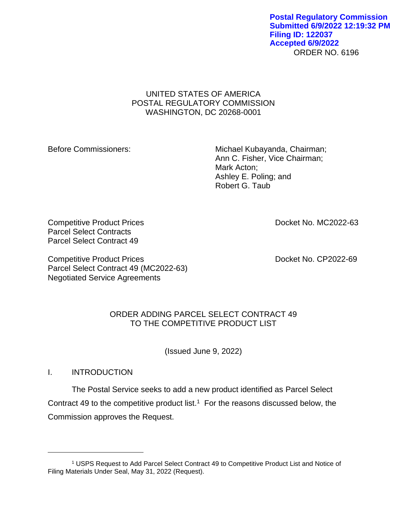#### ORDER NO. 6196 **Postal Regulatory Commission Submitted 6/9/2022 12:19:32 PM Filing ID: 122037 Accepted 6/9/2022**

## UNITED STATES OF AMERICA POSTAL REGULATORY COMMISSION WASHINGTON, DC 20268-0001

Before Commissioners: Michael Kubayanda, Chairman; Ann C. Fisher, Vice Chairman; Mark Acton; Ashley E. Poling; and Robert G. Taub

Competitive Product Prices **Docket No. MC2022-63** Parcel Select Contracts Parcel Select Contract 49

Competitive Product Prices **Docket No. CP2022-69** Parcel Select Contract 49 (MC2022-63) Negotiated Service Agreements

# ORDER ADDING PARCEL SELECT CONTRACT 49 TO THE COMPETITIVE PRODUCT LIST

(Issued June 9, 2022)

I. INTRODUCTION

The Postal Service seeks to add a new product identified as Parcel Select Contract 49 to the competitive product list.<sup>1</sup> For the reasons discussed below, the Commission approves the Request.

<sup>1</sup> USPS Request to Add Parcel Select Contract 49 to Competitive Product List and Notice of Filing Materials Under Seal, May 31, 2022 (Request).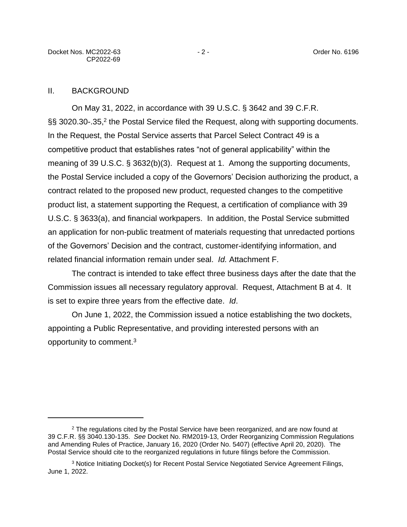## II. BACKGROUND

On May 31, 2022, in accordance with 39 U.S.C. § 3642 and 39 C.F.R. §§ 3020.30-.35,<sup>2</sup> the Postal Service filed the Request, along with supporting documents. In the Request, the Postal Service asserts that Parcel Select Contract 49 is a competitive product that establishes rates "not of general applicability" within the meaning of 39 U.S.C. § 3632(b)(3). Request at 1. Among the supporting documents, the Postal Service included a copy of the Governors' Decision authorizing the product, a contract related to the proposed new product, requested changes to the competitive product list, a statement supporting the Request, a certification of compliance with 39 U.S.C. § 3633(a), and financial workpapers. In addition, the Postal Service submitted an application for non-public treatment of materials requesting that unredacted portions of the Governors' Decision and the contract, customer-identifying information, and related financial information remain under seal. *Id.* Attachment F.

The contract is intended to take effect three business days after the date that the Commission issues all necessary regulatory approval. Request, Attachment B at 4. It is set to expire three years from the effective date. *Id*.

On June 1, 2022, the Commission issued a notice establishing the two dockets, appointing a Public Representative, and providing interested persons with an opportunity to comment.<sup>3</sup>

<sup>&</sup>lt;sup>2</sup> The regulations cited by the Postal Service have been reorganized, and are now found at 39 C.F.R. §§ 3040.130-135. *See* Docket No. RM2019-13, Order Reorganizing Commission Regulations and Amending Rules of Practice, January 16, 2020 (Order No. 5407) (effective April 20, 2020). The Postal Service should cite to the reorganized regulations in future filings before the Commission.

<sup>3</sup> Notice Initiating Docket(s) for Recent Postal Service Negotiated Service Agreement Filings, June 1, 2022.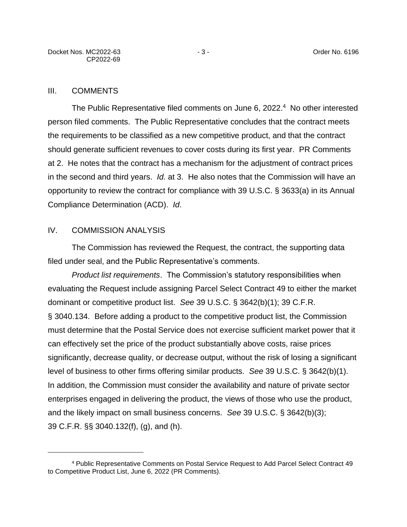#### III. COMMENTS

The Public Representative filed comments on June 6, 2022. 4 No other interested person filed comments. The Public Representative concludes that the contract meets the requirements to be classified as a new competitive product, and that the contract should generate sufficient revenues to cover costs during its first year. PR Comments at 2. He notes that the contract has a mechanism for the adjustment of contract prices in the second and third years. *Id.* at 3.He also notes that the Commission will have an opportunity to review the contract for compliance with 39 U.S.C. § 3633(a) in its Annual Compliance Determination (ACD). *Id*.

#### IV. COMMISSION ANALYSIS

The Commission has reviewed the Request, the contract, the supporting data filed under seal, and the Public Representative's comments.

*Product list requirements*. The Commission's statutory responsibilities when evaluating the Request include assigning Parcel Select Contract 49 to either the market dominant or competitive product list. *See* 39 U.S.C. § 3642(b)(1); 39 C.F.R. § 3040.134. Before adding a product to the competitive product list, the Commission must determine that the Postal Service does not exercise sufficient market power that it can effectively set the price of the product substantially above costs, raise prices significantly, decrease quality, or decrease output, without the risk of losing a significant level of business to other firms offering similar products. *See* 39 U.S.C. § 3642(b)(1). In addition, the Commission must consider the availability and nature of private sector enterprises engaged in delivering the product, the views of those who use the product, and the likely impact on small business concerns. *See* 39 U.S.C. § 3642(b)(3); 39 C.F.R. §§ 3040.132(f), (g), and (h).

<sup>4</sup> Public Representative Comments on Postal Service Request to Add Parcel Select Contract 49 to Competitive Product List, June 6, 2022 (PR Comments).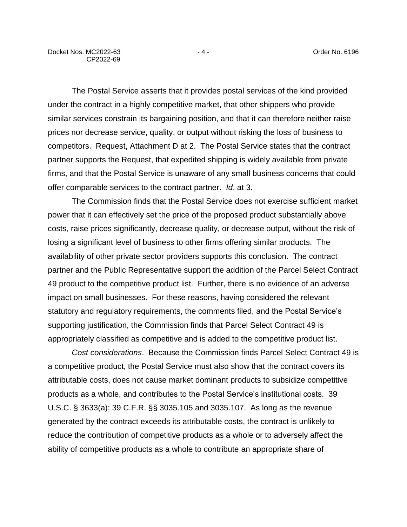The Postal Service asserts that it provides postal services of the kind provided under the contract in a highly competitive market, that other shippers who provide similar services constrain its bargaining position, and that it can therefore neither raise prices nor decrease service, quality, or output without risking the loss of business to competitors. Request, Attachment D at 2. The Postal Service states that the contract partner supports the Request, that expedited shipping is widely available from private firms, and that the Postal Service is unaware of any small business concerns that could offer comparable services to the contract partner. *Id*. at 3.

The Commission finds that the Postal Service does not exercise sufficient market power that it can effectively set the price of the proposed product substantially above costs, raise prices significantly, decrease quality, or decrease output, without the risk of losing a significant level of business to other firms offering similar products. The availability of other private sector providers supports this conclusion. The contract partner and the Public Representative support the addition of the Parcel Select Contract 49 product to the competitive product list. Further, there is no evidence of an adverse impact on small businesses. For these reasons, having considered the relevant statutory and regulatory requirements, the comments filed, and the Postal Service's supporting justification, the Commission finds that Parcel Select Contract 49 is appropriately classified as competitive and is added to the competitive product list.

*Cost considerations*. Because the Commission finds Parcel Select Contract 49 is a competitive product, the Postal Service must also show that the contract covers its attributable costs, does not cause market dominant products to subsidize competitive products as a whole, and contributes to the Postal Service's institutional costs. 39 U.S.C. § 3633(a); 39 C.F.R. §§ 3035.105 and 3035.107. As long as the revenue generated by the contract exceeds its attributable costs, the contract is unlikely to reduce the contribution of competitive products as a whole or to adversely affect the ability of competitive products as a whole to contribute an appropriate share of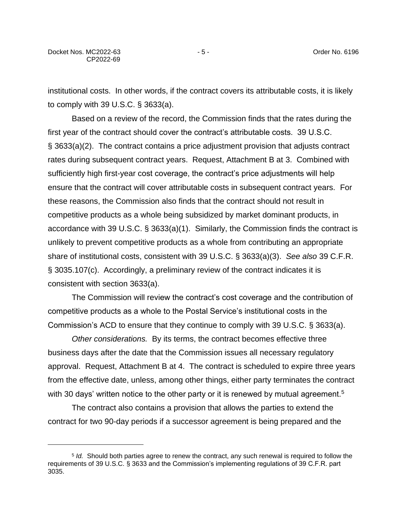institutional costs. In other words, if the contract covers its attributable costs, it is likely to comply with 39 U.S.C. § 3633(a).

Based on a review of the record, the Commission finds that the rates during the first year of the contract should cover the contract's attributable costs. 39 U.S.C. § 3633(a)(2). The contract contains a price adjustment provision that adjusts contract rates during subsequent contract years. Request, Attachment B at 3. Combined with sufficiently high first-year cost coverage, the contract's price adjustments will help ensure that the contract will cover attributable costs in subsequent contract years. For these reasons, the Commission also finds that the contract should not result in competitive products as a whole being subsidized by market dominant products, in accordance with 39 U.S.C. § 3633(a)(1). Similarly, the Commission finds the contract is unlikely to prevent competitive products as a whole from contributing an appropriate share of institutional costs, consistent with 39 U.S.C. § 3633(a)(3). *See also* 39 C.F.R. § 3035.107(c). Accordingly, a preliminary review of the contract indicates it is consistent with section 3633(a).

The Commission will review the contract's cost coverage and the contribution of competitive products as a whole to the Postal Service's institutional costs in the Commission's ACD to ensure that they continue to comply with 39 U.S.C. § 3633(a).

*Other considerations.* By its terms, the contract becomes effective three business days after the date that the Commission issues all necessary regulatory approval. Request, Attachment B at 4. The contract is scheduled to expire three years from the effective date, unless, among other things, either party terminates the contract with 30 days' written notice to the other party or it is renewed by mutual agreement.<sup>5</sup>

The contract also contains a provision that allows the parties to extend the contract for two 90-day periods if a successor agreement is being prepared and the

<sup>5</sup> *Id.* Should both parties agree to renew the contract, any such renewal is required to follow the requirements of 39 U.S.C. § 3633 and the Commission's implementing regulations of 39 C.F.R. part 3035.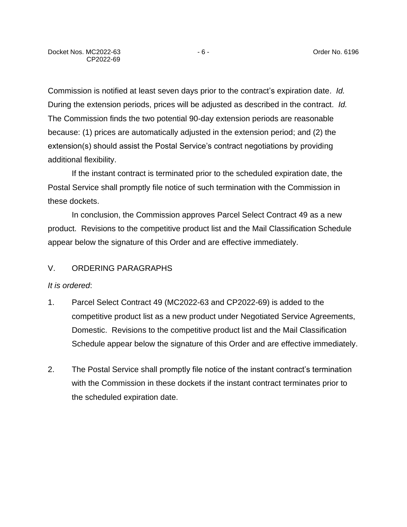Commission is notified at least seven days prior to the contract's expiration date. *Id.* During the extension periods, prices will be adjusted as described in the contract. *Id.* The Commission finds the two potential 90-day extension periods are reasonable because: (1) prices are automatically adjusted in the extension period; and (2) the extension(s) should assist the Postal Service's contract negotiations by providing additional flexibility.

If the instant contract is terminated prior to the scheduled expiration date, the Postal Service shall promptly file notice of such termination with the Commission in these dockets.

In conclusion, the Commission approves Parcel Select Contract 49 as a new product. Revisions to the competitive product list and the Mail Classification Schedule appear below the signature of this Order and are effective immediately.

## V. ORDERING PARAGRAPHS

#### *It is ordered*:

- 1. Parcel Select Contract 49 (MC2022-63 and CP2022-69) is added to the competitive product list as a new product under Negotiated Service Agreements, Domestic. Revisions to the competitive product list and the Mail Classification Schedule appear below the signature of this Order and are effective immediately.
- 2. The Postal Service shall promptly file notice of the instant contract's termination with the Commission in these dockets if the instant contract terminates prior to the scheduled expiration date.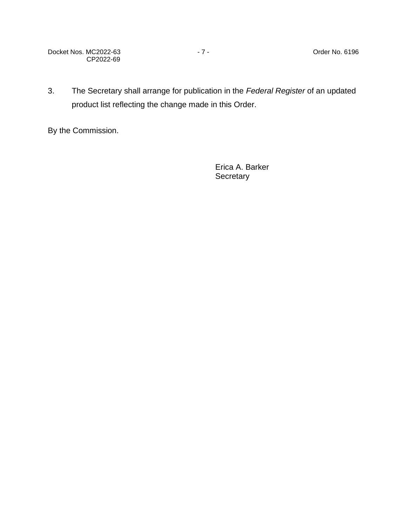Docket Nos. MC2022-63 - 7 - The Contract of the Order No. 6196 CP2022-69

3. The Secretary shall arrange for publication in the *Federal Register* of an updated product list reflecting the change made in this Order.

By the Commission.

Erica A. Barker **Secretary**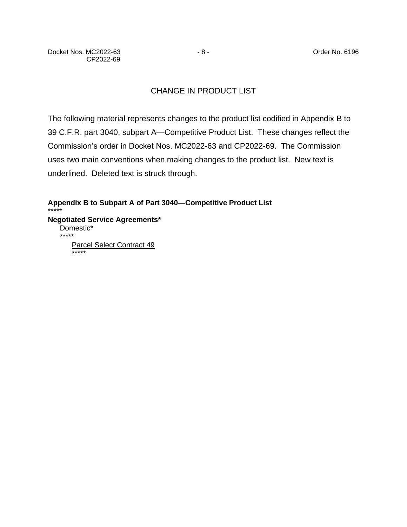# CHANGE IN PRODUCT LIST

The following material represents changes to the product list codified in Appendix B to 39 C.F.R. part 3040, subpart A—Competitive Product List. These changes reflect the Commission's order in Docket Nos. MC2022-63 and CP2022-69. The Commission uses two main conventions when making changes to the product list. New text is underlined. Deleted text is struck through.

**Appendix B to Subpart A of Part 3040—Competitive Product List** \*\*\*\*\* **Negotiated Service Agreements\*** Domestic\* \*\*\*\*\* Parcel Select Contract 49 \*\*\*\*\*